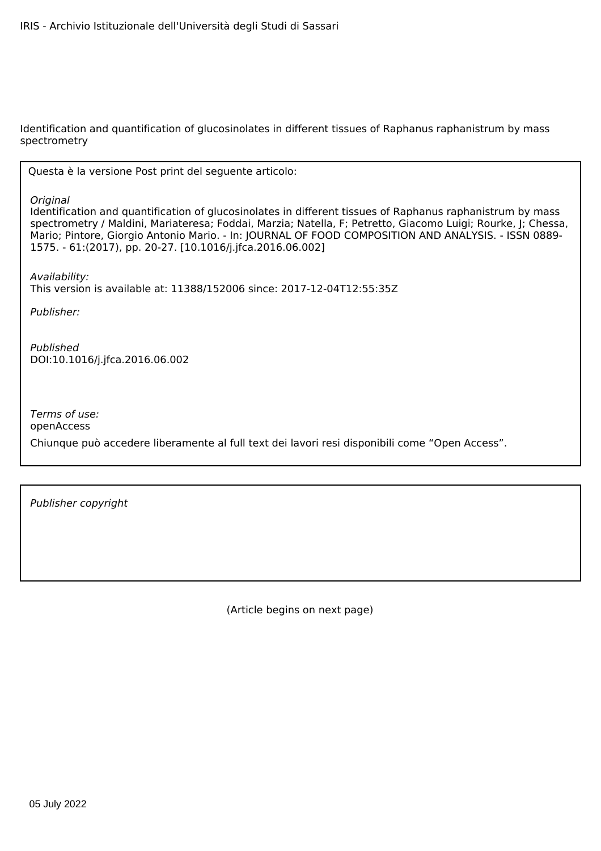Identification and quantification of glucosinolates in different tissues of Raphanus raphanistrum by mass spectrometry

Questa è la versione Post print del seguente articolo:

*Original*

Identification and quantification of glucosinolates in different tissues of Raphanus raphanistrum by mass spectrometry / Maldini, Mariateresa; Foddai, Marzia; Natella, F; Petretto, Giacomo Luigi; Rourke, J; Chessa, Mario; Pintore, Giorgio Antonio Mario. - In: JOURNAL OF FOOD COMPOSITION AND ANALYSIS. - ISSN 0889- 1575. - 61:(2017), pp. 20-27. [10.1016/j.jfca.2016.06.002]

*Availability:* This version is available at: 11388/152006 since: 2017-12-04T12:55:35Z

*Publisher:*

*Published* DOI:10.1016/j.jfca.2016.06.002

*Terms of use:* openAccess

Chiunque può accedere liberamente al full text dei lavori resi disponibili come "Open Access".

*Publisher copyright*

(Article begins on next page)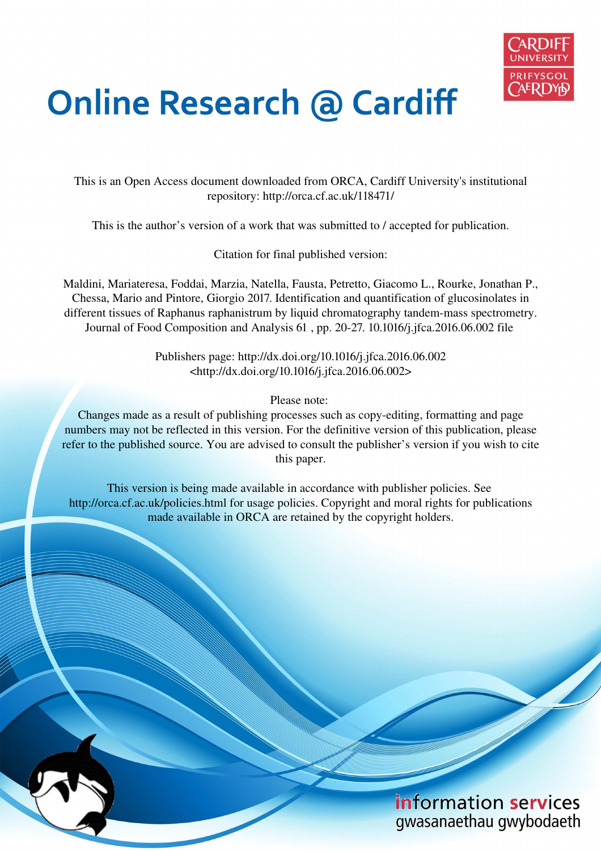

# **Online Research @ Cardiff**

This is an Open Access document downloaded from ORCA, Cardiff University's institutional repository: http://orca.cf.ac.uk/118471/

This is the author's version of a work that was submitted to / accepted for publication.

Citation for final published version:

Maldini, Mariateresa, Foddai, Marzia, Natella, Fausta, Petretto, Giacomo L., Rourke, Jonathan P., Chessa, Mario and Pintore, Giorgio 2017. Identification and quantification of glucosinolates in different tissues of Raphanus raphanistrum by liquid chromatography tandem-mass spectrometry. Journal of Food Composition and Analysis 61 , pp. 20-27. 10.1016/j.jfca.2016.06.002 file

> Publishers page: http://dx.doi.org/10.1016/j.jfca.2016.06.002 <http://dx.doi.org/10.1016/j.jfca.2016.06.002>

> > Please note:

Changes made as a result of publishing processes such as copy-editing, formatting and page numbers may not be reflected in this version. For the definitive version of this publication, please refer to the published source. You are advised to consult the publisher's version if you wish to cite this paper.

This version is being made available in accordance with publisher policies. See http://orca.cf.ac.uk/policies.html for usage policies. Copyright and moral rights for publications made available in ORCA are retained by the copyright holders.

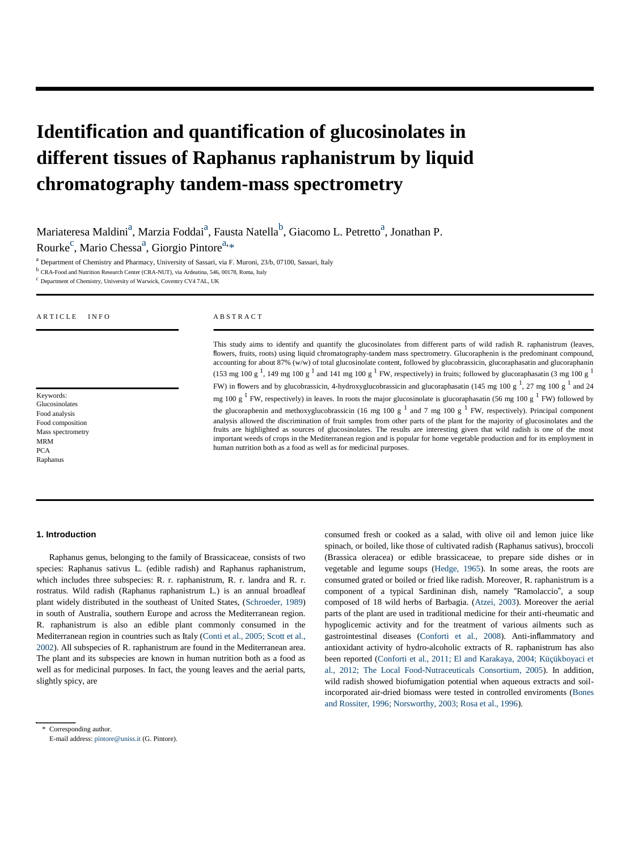# **Identification and quantification of glucosinolates in different tissues of Raphanus raphanistrum by liquid chromatography tandem-mass spectrometry**

Mariateresa Maldini<sup>a</sup>, Marzia Foddai<sup>a</sup>, Fausta Natella<sup>b</sup>, Giacomo L. Petretto<sup>a</sup>, Jonathan P.

Rourke<sup>c</sup>, Mario Chessa<sup>a</sup>, Giorgio Pintore<sup>a,\*</sup>

<sup>a</sup> Department of Chemistry and Pharmacy, University of Sassari, via F. Muroni, 23/b, 07100, Sassari, Italy

<sup>b</sup> CRA-Food and Nutrition Research Center (CRA-NUT), via Ardeatina, 546, 00178, Roma, Italy

<sup>c</sup> Department of Chemistry, University of Warwick, Coventry CV4 7AL, UK

| ARTICLE<br><b>INFO</b>                                                                                                        | <b>ABSTRACT</b>                                                                                                                                                                                                                                                                                                                                                                                                                                                                                                                                                                                                                                                                                                                                                                                                                                                                                                                                                                                                                                                                                                                                                                                                                                                                                                                                                                                                                       |  |  |  |
|-------------------------------------------------------------------------------------------------------------------------------|---------------------------------------------------------------------------------------------------------------------------------------------------------------------------------------------------------------------------------------------------------------------------------------------------------------------------------------------------------------------------------------------------------------------------------------------------------------------------------------------------------------------------------------------------------------------------------------------------------------------------------------------------------------------------------------------------------------------------------------------------------------------------------------------------------------------------------------------------------------------------------------------------------------------------------------------------------------------------------------------------------------------------------------------------------------------------------------------------------------------------------------------------------------------------------------------------------------------------------------------------------------------------------------------------------------------------------------------------------------------------------------------------------------------------------------|--|--|--|
| Keywords:<br>Glucosinolates<br>Food analysis<br>Food composition<br>Mass spectrometry<br><b>MRM</b><br><b>PCA</b><br>Raphanus | This study aims to identify and quantify the glucosinolates from different parts of wild radish R. raphanistrum (leaves,<br>flowers, fruits, roots) using liquid chromatography-tandem mass spectrometry. Glucoraphenin is the predominant compound,<br>accounting for about 87% (w/w) of total glucosinolate content, followed by glucobrassicin, glucoraphasatin and glucoraphanin<br>(153 mg 100 g <sup>1</sup> , 149 mg 100 g <sup>1</sup> and 141 mg 100 g <sup>1</sup> FW, respectively) in fruits; followed by glucoraphasatin (3 mg 100 g <sup>1</sup> )<br>FW) in flowers and by glucobrassicin, 4-hydroxyglucobrassicin and glucoraphasatin (145 mg 100 g $^1$ , 27 mg 100 g $^1$ and 24<br>mg 100 g $^1$ FW, respectively) in leaves. In roots the major glucosinolate is glucoraphasatin (56 mg 100 g $^1$ FW) followed by<br>the glucoraphenin and methoxyglucobrassicin (16 mg 100 g $^1$ and 7 mg 100 g $^1$ FW, respectively). Principal component<br>analysis allowed the discrimination of fruit samples from other parts of the plant for the majority of glucosinolates and the<br>fruits are highlighted as sources of glucosinolates. The results are interesting given that wild radish is one of the most<br>important weeds of crops in the Mediterranean region and is popular for home vegetable production and for its employment in<br>human nutrition both as a food as well as for medicinal purposes. |  |  |  |

#### **1. Introduction**

Raphanus genus, belonging to the family of Brassicaceae, consists of two species: Raphanus sativus L. (edible radish) and Raphanus raphanistrum, which includes three subspecies: R. r. raphanistrum, R. r. landra and R. r. rostratus. Wild radish (Raphanus raphanistrum L.) is an annual broadleaf plant widely distributed in the southeast of United States, (Schroeder, 1989) in south of Australia, southern Europe and across the Mediterranean region. R. raphanistrum is also an edible plant commonly consumed in the Mediterranean region in countries such as Italy (Conti et al., 2005; Scott et al., 2002). All subspecies of R. raphanistrum are found in the Mediterranean area. The plant and its subspecies are known in human nutrition both as a food as well as for medicinal purposes. In fact, the young leaves and the aerial parts, slightly spicy, are

consumed fresh or cooked as a salad, with olive oil and lemon juice like spinach, or boiled, like those of cultivated radish (Raphanus sativus), broccoli (Brassica oleracea) or edible brassicaceae, to prepare side dishes or in vegetable and legume soups (Hedge, 1965). In some areas, the roots are consumed grated or boiled or fried like radish. Moreover, R. raphanistrum is a component of a typical Sardininan dish, namely "Ramolaccio", a soup composed of 18 wild herbs of Barbagia. (Atzei, 2003). Moreover the aerial parts of the plant are used in traditional medicine for their anti-rheumatic and hypoglicemic activity and for the treatment of various ailments such as gastrointestinal diseases (Conforti et al., 2008). Anti-inflammatory and antioxidant activity of hydro-alcoholic extracts of R. raphanistrum has also been reported (Conforti et al., 2011; El and Karakaya, 2004; Küçükboyaci et al., 2012; The Local Food-Nutraceuticals Consortium, 2005). In addition, wild radish showed biofumigation potential when aqueous extracts and soilincorporated air-dried biomass were tested in controlled enviroments (Bones and Rossiter, 1996; Norsworthy, 2003; Rosa et al., 1996).

\* Corresponding author. E-mail address[: pintore@uniss.it](mailto:pintore@uniss.it) (G. Pintore).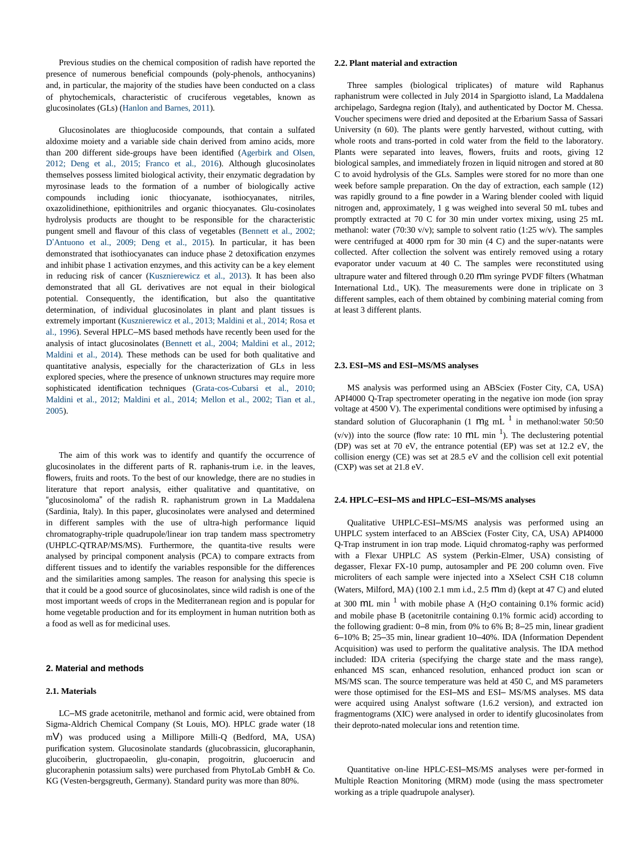Previous studies on the chemical composition of radish have reported the presence of numerous beneficial compounds (poly-phenols, anthocyanins) and, in particular, the majority of the studies have been conducted on a class of phytochemicals, characteristic of cruciferous vegetables, known as glucosinolates (GLs) (Hanlon and Barnes, 2011).

Glucosinolates are thioglucoside compounds, that contain a sulfated aldoxime moiety and a variable side chain derived from amino acids, more than 200 different side-groups have been identified (Agerbirk and Olsen, 2012; Deng et al., 2015; Franco et al., 2016). Although glucosinolates themselves possess limited biological activity, their enzymatic degradation by myrosinase leads to the formation of a number of biologically active compounds including ionic thiocyanate, isothiocyanates, nitriles, oxazolidinethione, epithionitriles and organic thiocyanates. Glu-cosinolates hydrolysis products are thought to be responsible for the characteristic pungent smell and flavour of this class of vegetables (Bennett et al., 2002; D'Antuono et al., 2009; Deng et al., 2015). In particular, it has been demonstrated that isothiocyanates can induce phase 2 detoxification enzymes and inhibit phase 1 activation enzymes, and this activity can be a key element in reducing risk of cancer (Kusznierewicz et al., 2013). It has been also demonstrated that all GL derivatives are not equal in their biological potential. Consequently, the identification, but also the quantitative determination, of individual glucosinolates in plant and plant tissues is extremely important (Kusznierewicz et al., 2013; Maldini et al., 2014; Rosa et al., 1996). Several HPLC–MS based methods have recently been used for the analysis of intact glucosinolates (Bennett et al., 2004; Maldini et al., 2012; Maldini et al., 2014). These methods can be used for both qualitative and quantitative analysis, especially for the characterization of GLs in less explored species, where the presence of unknown structures may require more sophisticated identification techniques (Grata-cos-Cubarsi et al., 2010; Maldini et al., 2012; Maldini et al., 2014; Mellon et al., 2002; Tian et al., 2005).

The aim of this work was to identify and quantify the occurrence of glucosinolates in the different parts of R. raphanis-trum i.e. in the leaves, flowers, fruits and roots. To the best of our knowledge, there are no studies in literature that report analysis, either qualitative and quantitative, on "glucosinoloma" of the radish R. raphanistrum grown in La Maddalena (Sardinia, Italy). In this paper, glucosinolates were analysed and determined in different samples with the use of ultra-high performance liquid chromatography-triple quadrupole/linear ion trap tandem mass spectrometry (UHPLC-QTRAP/MS/MS). Furthermore, the quantita-tive results were analysed by principal component analysis (PCA) to compare extracts from different tissues and to identify the variables responsible for the differences and the similarities among samples. The reason for analysing this specie is that it could be a good source of glucosinolates, since wild radish is one of the most important weeds of crops in the Mediterranean region and is popular for home vegetable production and for its employment in human nutrition both as a food as well as for medicinal uses.

# **2. Material and methods**

#### **2.1. Materials**

LC–MS grade acetonitrile, methanol and formic acid, were obtained from Sigma-Aldrich Chemical Company (St Louis, MO). HPLC grade water (18 mV) was produced using a Millipore Milli-Q (Bedford, MA, USA) purification system. Glucosinolate standards (glucobrassicin, glucoraphanin, glucoiberin, gluctropaeolin, glu-conapin, progoitrin, glucoerucin and glucoraphenin potassium salts) were purchased from PhytoLab GmbH & Co. KG (Vesten-bergsgreuth, Germany). Standard purity was more than 80%.

### **2.2. Plant material and extraction**

Three samples (biological triplicates) of mature wild Raphanus raphanistrum were collected in July 2014 in Spargiotto island, La Maddalena archipelago, Sardegna region (Italy), and authenticated by Doctor M. Chessa. Voucher specimens were dried and deposited at the Erbarium Sassa of Sassari University (n 60). The plants were gently harvested, without cutting, with whole roots and trans-ported in cold water from the field to the laboratory. Plants were separated into leaves, flowers, fruits and roots, giving 12 biological samples, and immediately frozen in liquid nitrogen and stored at 80 C to avoid hydrolysis of the GLs. Samples were stored for no more than one week before sample preparation. On the day of extraction, each sample (12) was rapidly ground to a fine powder in a Waring blender cooled with liquid nitrogen and, approximately, 1 g was weighed into several 50 mL tubes and promptly extracted at 70 C for 30 min under vortex mixing, using 25 mL methanol: water (70:30 v/v); sample to solvent ratio (1:25 w/v). The samples were centrifuged at 4000 rpm for 30 min (4 C) and the super-natants were collected. After collection the solvent was entirely removed using a rotary evaporator under vacuum at 40 C. The samples were reconstituted using ultrapure water and filtered through 0.20 mm syringe PVDF filters (Whatman International Ltd., UK). The measurements were done in triplicate on 3 different samples, each of them obtained by combining material coming from at least 3 different plants.

#### **2.3. ESI–MS and ESI–MS/MS analyses**

MS analysis was performed using an ABSciex (Foster City, CA, USA) API4000 Q-Trap spectrometer operating in the negative ion mode (ion spray voltage at 4500 V). The experimental conditions were optimised by infusing a standard solution of Glucoraphanin (1  $mg$  mL  $^1$  in methanol:water 50:50  $(v/v)$ ) into the source (flow rate: 10 ML min<sup>1</sup>). The declustering potential (DP) was set at 70 eV, the entrance potential (EP) was set at 12.2 eV, the collision energy (CE) was set at 28.5 eV and the collision cell exit potential (CXP) was set at 21.8 eV.

# **2.4. HPLC–ESI–MS and HPLC–ESI–MS/MS analyses**

Qualitative UHPLC-ESI–MS/MS analysis was performed using an UHPLC system interfaced to an ABSciex (Foster City, CA, USA) API4000 Q-Trap instrument in ion trap mode. Liquid chromatog-raphy was performed with a Flexar UHPLC AS system (Perkin-Elmer, USA) consisting of degasser, Flexar FX-10 pump, autosampler and PE 200 column oven. Five microliters of each sample were injected into a XSelect CSH C18 column (Waters, Milford, MA) (100 2.1 mm i.d., 2.5  $mm$  d) (kept at 47 C) and eluted at 300  $ML$  min<sup>1</sup> with mobile phase A (H<sub>2</sub>O containing 0.1% formic acid) and mobile phase B (acetonitrile containing 0.1% formic acid) according to the following gradient: 0–8 min, from 0% to 6% B; 8–25 min, linear gradient 6–10% B; 25–35 min, linear gradient 10–40%. IDA (Information Dependent Acquisition) was used to perform the qualitative analysis. The IDA method included: IDA criteria (specifying the charge state and the mass range), enhanced MS scan, enhanced resolution, enhanced product ion scan or MS/MS scan. The source temperature was held at 450 C, and MS parameters were those optimised for the ESI–MS and ESI– MS/MS analyses. MS data were acquired using Analyst software (1.6.2 version), and extracted ion fragmentograms (XIC) were analysed in order to identify glucosinolates from their deproto-nated molecular ions and retention time.

Quantitative on-line HPLC-ESI–MS/MS analyses were per-formed in Multiple Reaction Monitoring (MRM) mode (using the mass spectrometer working as a triple quadrupole analyser).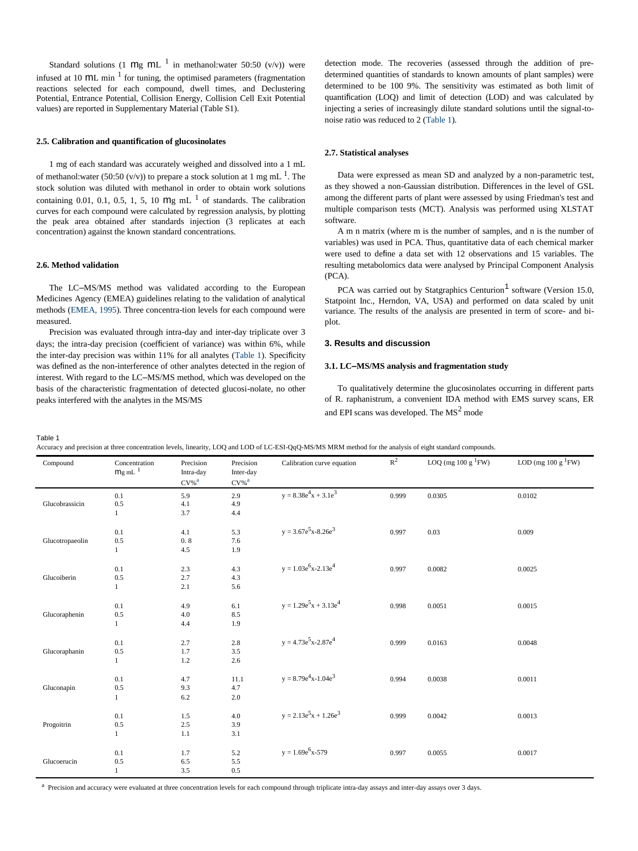Standard solutions (1 Mg ML  $<sup>1</sup>$  in methanol:water 50:50 (v/v)) were</sup> infused at 10  $ML$  min<sup>1</sup> for tuning, the optimised parameters (fragmentation reactions selected for each compound, dwell times, and Declustering Potential, Entrance Potential, Collision Energy, Collision Cell Exit Potential values) are reported in Supplementary Material (Table S1).

# **2.5. Calibration and quantification of glucosinolates**

1 mg of each standard was accurately weighed and dissolved into a 1 mL of methanol: water (50:50 (v/v)) to prepare a stock solution at 1 mg mL  $<sup>1</sup>$ . The</sup> stock solution was diluted with methanol in order to obtain work solutions containing 0.01, 0.1, 0.5, 1, 5, 10  $mg$  mL  $^1$  of standards. The calibration curves for each compound were calculated by regression analysis, by plotting the peak area obtained after standards injection (3 replicates at each concentration) against the known standard concentrations.

# **2.6. Method validation**

The LC–MS/MS method was validated according to the European Medicines Agency (EMEA) guidelines relating to the validation of analytical methods (EMEA, 1995). Three concentra-tion levels for each compound were measured.

Precision was evaluated through intra-day and inter-day triplicate over 3 days; the intra-day precision (coefficient of variance) was within 6%, while the inter-day precision was within 11% for all analytes (Table 1). Specificity was defined as the non-interference of other analytes detected in the region of interest. With regard to the LC–MS/MS method, which was developed on the basis of the characteristic fragmentation of detected glucosi-nolate, no other peaks interfered with the analytes in the MS/MS

detection mode. The recoveries (assessed through the addition of predetermined quantities of standards to known amounts of plant samples) were determined to be 100 9%. The sensitivity was estimated as both limit of quantification (LOQ) and limit of detection (LOD) and was calculated by injecting a series of increasingly dilute standard solutions until the signal-tonoise ratio was reduced to 2 (Table 1).

#### **2.7. Statistical analyses**

Data were expressed as mean SD and analyzed by a non-parametric test, as they showed a non-Gaussian distribution. Differences in the level of GSL among the different parts of plant were assessed by using Friedman's test and multiple comparison tests (MCT). Analysis was performed using XLSTAT software.

A m n matrix (where m is the number of samples, and n is the number of variables) was used in PCA. Thus, quantitative data of each chemical marker were used to define a data set with 12 observations and 15 variables. The resulting metabolomics data were analysed by Principal Component Analysis  $(PCA)$ .

PCA was carried out by Statgraphics Centurion<sup>1</sup> software (Version 15.0, Statpoint Inc., Herndon, VA, USA) and performed on data scaled by unit variance. The results of the analysis are presented in term of score- and biplot.

# **3. Results and discussion**

# **3.1. LC–MS/MS analysis and fragmentation study**

To qualitatively determine the glucosinolates occurring in different parts of R. raphanistrum, a convenient IDA method with EMS survey scans, ER and EPI scans was developed. The  $MS<sup>2</sup>$  mode

Table 1

Accuracy and precision at three concentration levels, linearity, LOQ and LOD of LC-ESI-QqQ-MS/MS MRM method for the analysis of eight standard compounds.

| Compound        | Concentration<br>$mg$ mL $^{-1}$ | Precision<br>Intra-day<br>$CV\%$ <sup>a</sup> | Precision<br>Inter-day<br>$CV\%$ <sup>a</sup> | Calibration curve equation   | $R^2$ | LOQ (mg 100 g ${}^{1}\text{FW}$ ) | LOD (mg 100 g ${}^{1}$ FW) |
|-----------------|----------------------------------|-----------------------------------------------|-----------------------------------------------|------------------------------|-------|-----------------------------------|----------------------------|
| Glucobrassicin  | 0.1<br>0.5<br>$\mathbf{1}$       | 5.9<br>4.1<br>3.7                             | 2.9<br>4.9<br>4.4                             | $y = 8.38e^{4}x + 3.1e^{3}$  | 0.999 | 0.0305                            | 0.0102                     |
| Glucotropaeolin | 0.1<br>0.5<br>$\mathbf{1}$       | 4.1<br>0.8<br>4.5                             | 5.3<br>7.6<br>1.9                             | $y = 3.67e^5x-8.26e^3$       | 0.997 | 0.03                              | 0.009                      |
| Glucoiberin     | 0.1<br>0.5<br>$\mathbf{1}$       | 2.3<br>2.7<br>2.1                             | 4.3<br>4.3<br>5.6                             | $y = 1.03e^{6}x - 2.13e^{4}$ | 0.997 | 0.0082                            | 0.0025                     |
| Glucoraphenin   | 0.1<br>0.5<br>$\mathbf{1}$       | 4.9<br>4.0<br>4.4                             | 6.1<br>8.5<br>1.9                             | $y = 1.29e^{5}x + 3.13e^{4}$ | 0.998 | 0.0051                            | 0.0015                     |
| Glucoraphanin   | 0.1<br>$0.5\,$<br>$\mathbf{1}$   | 2.7<br>1.7<br>1.2                             | 2.8<br>3.5<br>2.6                             | $y = 4.73e^{5}x - 2.87e^{4}$ | 0.999 | 0.0163                            | 0.0048                     |
| Gluconapin      | 0.1<br>0.5<br>$\mathbf{1}$       | 4.7<br>9.3<br>6.2                             | 11.1<br>4.7<br>2.0                            | $y = 8.79e^{4}x-1.04e^{3}$   | 0.994 | 0.0038                            | 0.0011                     |
| Progoitrin      | 0.1<br>0.5<br>$\mathbf{1}$       | 1.5<br>2.5<br>1.1                             | $4.0$<br>3.9<br>3.1                           | $y = 2.13e^5x + 1.26e^3$     | 0.999 | 0.0042                            | 0.0013                     |
| Glucoerucin     | 0.1<br>0.5<br>$\mathbf{1}$       | 1.7<br>6.5<br>3.5                             | 5.2<br>5.5<br>0.5                             | $y = 1.69e^6x - 579$         | 0.997 | 0.0055                            | 0.0017                     |

<sup>a</sup> Precision and accuracy were evaluated at three concentration levels for each compound through triplicate intra-day assays and inter-day assays over 3 days.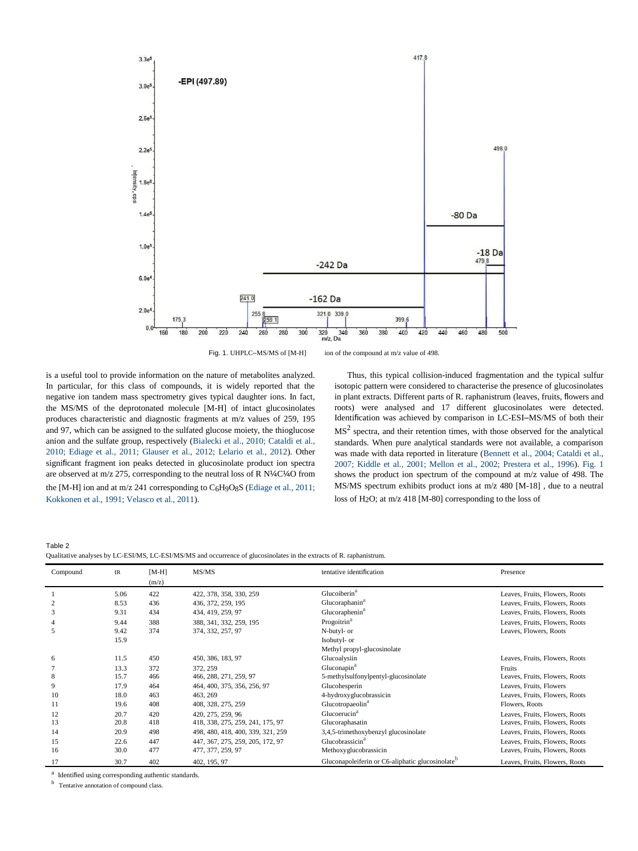

Fig. 1. UHPLC–MS/MS of [M-H] ion of the compound at m/z value of 498.

is a useful tool to provide information on the nature of metabolites analyzed. In particular, for this class of compounds, it is widely reported that the negative ion tandem mass spectrometry gives typical daughter ions. In fact, the MS/MS of the deprotonated molecule [M-H] of intact glucosinolates produces characteristic and diagnostic fragments at m/z values of 259, 195 and 97, which can be assigned to the sulfated glucose moiety, the thioglucose anion and the sulfate group, respectively (Bialecki et al., 2010; Cataldi et al., 2010; Ediage et al., 2011; Glauser et al., 2012; Lelario et al., 2012). Other significant fragment ion peaks detected in glucosinolate product ion spectra are observed at m/z 275, corresponding to the neutral loss of R N¼C¼O from the [M-H] ion and at m/z 241 corresponding to C<sub>6</sub>H9O8S (Ediage et al., 2011; Kokkonen et al., 1991; Velasco et al., 2011).

Thus, this typical collision-induced fragmentation and the typical sulfur isotopic pattern were considered to characterise the presence of glucosinolates in plant extracts. Different parts of R. raphanistrum (leaves, fruits, flowers and roots) were analysed and 17 different glucosinolates were detected. Identification was achieved by comparison in LC-ESI–MS/MS of both their  $MS<sup>2</sup>$  spectra, and their retention times, with those observed for the analytical standards. When pure analytical standards were not available, a comparison was made with data reported in literature (Bennett et al., 2004; Cataldi et al., 2007; Kiddle et al., 2001; Mellon et al., 2002; Prestera et al., 1996). Fig. 1 shows the product ion spectrum of the compound at m/z value of 498. The MS/MS spectrum exhibits product ions at m/z 480 [M-18] , due to a neutral loss of H2O; at m/z 418 [M-80] corresponding to the loss of

Table 2 Qualitative analyses by LC-ESI/MS, LC-ESI/MS/MS and occurrence of glucosinolates in the extracts of R. raphanistrum.

| Compound | t <sub>R</sub> | $[M-H]$ | MS/MS                             | tentative identification                                     | Presence                       |
|----------|----------------|---------|-----------------------------------|--------------------------------------------------------------|--------------------------------|
|          |                | (m/z)   |                                   |                                                              |                                |
|          | 5.06           | 422     | 422, 378, 358, 330, 259           | Glucoiberin <sup>a</sup>                                     | Leaves, Fruits, Flowers, Roots |
| 2        | 8.53           | 436     | 436, 372, 259, 195                | Glucoraphanin <sup>a</sup>                                   | Leaves, Fruits, Flowers, Roots |
| 3        | 9.31           | 434     | 434, 419, 259, 97                 | Glucoraphenin <sup>a</sup>                                   | Leaves, Fruits, Flowers, Roots |
|          | 9.44           | 388     | 388, 341, 332, 259, 195           | Progoitrin <sup>a</sup>                                      | Leaves, Fruits, Flowers, Roots |
|          | 9.42           | 374     | 374, 332, 257, 97                 | N-butyl- or                                                  | Leaves, Flowers, Roots         |
|          | 15.9           |         |                                   | Isobutyl- or                                                 |                                |
|          |                |         |                                   | Methyl propyl-glucosinolate                                  |                                |
| 6        | 11.5           | 450     | 450, 386, 183, 97                 | Glucoalysiin                                                 | Leaves, Fruits, Flowers, Roots |
|          | 13.3           | 372     | 372, 259                          | Gluconapin <sup>a</sup>                                      | Fruits                         |
| 8        | 15.7           | 466     | 466, 288, 271, 259, 97            | 5-methylsulfonylpentyl-glucosinolate                         | Leaves, Fruits, Flowers, Roots |
|          | 17.9           | 464     | 464, 400, 375, 356, 256, 97       | Glucohesperin                                                | Leaves, Fruits, Flowers        |
| 10       | 18.0           | 463     | 463, 269                          | 4-hydroxyglucobrassicin                                      | Leaves, Fruits, Flowers, Roots |
| 11       | 19.6           | 408     | 408, 328, 275, 259                | Glucotropaeolin <sup>a</sup>                                 | Flowers, Roots                 |
| 12       | 20.7           | 420     | 420, 275, 259, 96                 | Glucoerucin <sup>a</sup>                                     | Leaves, Fruits, Flowers, Roots |
| 13       | 20.8           | 418     | 418, 338, 275, 259, 241, 175, 97  | Glucoraphasatin                                              | Leaves, Fruits, Flowers, Roots |
| 14       | 20.9           | 498     | 498, 480, 418, 400, 339, 321, 259 | 3,4,5-trimethoxybenzyl glucosinolate                         | Leaves, Fruits, Flowers, Roots |
| 15       | 22.6           | 447     | 447, 367, 275, 259, 205, 172, 97  | Glucobrassicin <sup>a</sup>                                  | Leaves, Fruits, Flowers, Roots |
| 16       | 30.0           | 477     | 477, 377, 259, 97                 | Methoxyglucobrassicin                                        | Leaves, Fruits, Flowers, Roots |
| 17       | 30.7           | 402     | 402, 195, 97                      | Gluconapoleiferin or C6-aliphatic glucosinolate <sup>b</sup> | Leaves, Fruits, Flowers, Roots |

<sup>a</sup> Identified using corresponding authentic standards.

b Tentative annotation of compound class.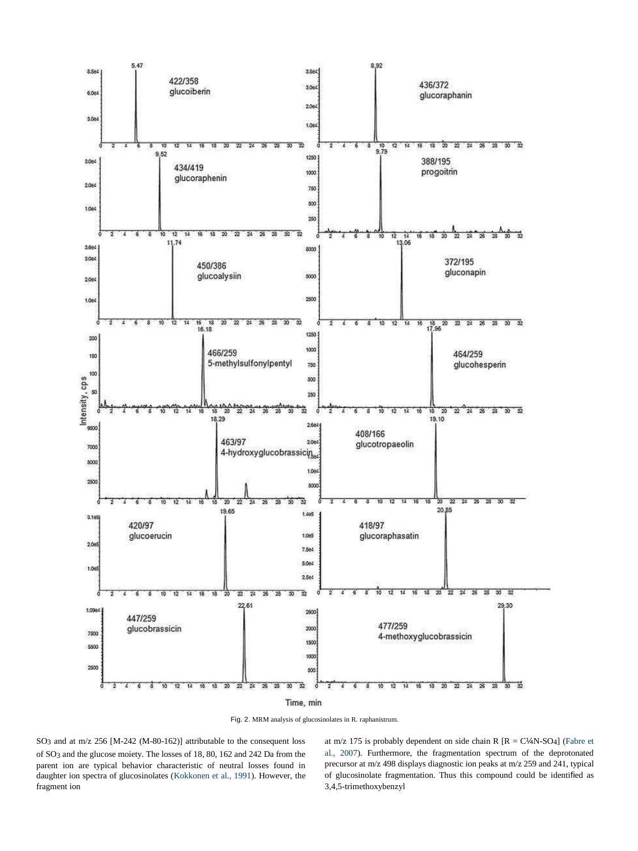

Fig. 2. MRM analysis of glucosinolates in R. raphanistrum.

SO3 and at m/z 256 [M-242 (M-80-162)] attributable to the consequent loss of SO3 and the glucose moiety. The losses of 18, 80, 162 and 242 Da from the parent ion are typical behavior characteristic of neutral losses found in daughter ion spectra of glucosinolates (Kokkonen et al., 1991). However, the fragment ion

at m/z 175 is probably dependent on side chain R  $[R = C/M-SO_4]$  (Fabre et al., 2007). Furthermore, the fragmentation spectrum of the deprotonated precursor at m/z 498 displays diagnostic ion peaks at m/z 259 and 241, typical of glucosinolate fragmentation. Thus this compound could be identified as 3,4,5-trimethoxybenzyl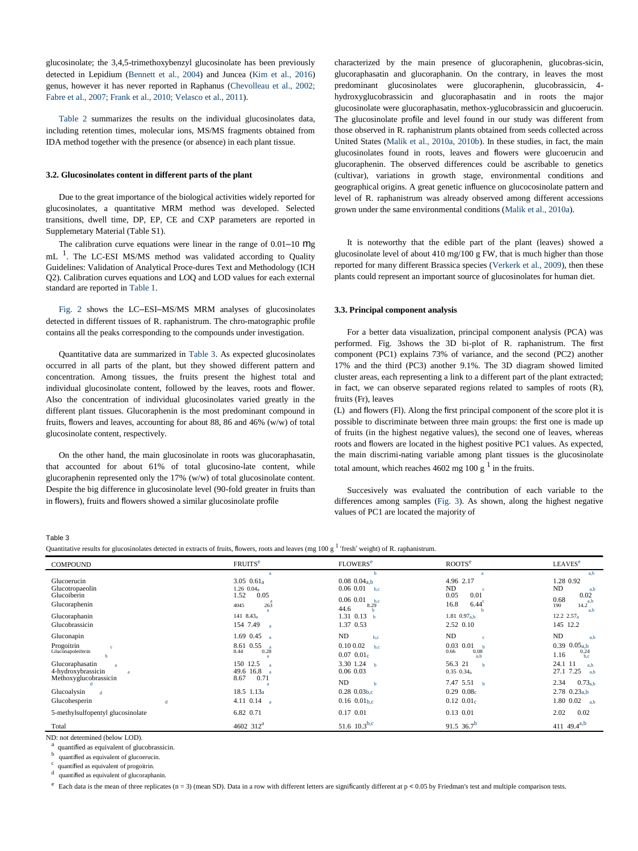glucosinolate; the 3,4,5-trimethoxybenzyl glucosinolate has been previously detected in Lepidium (Bennett et al., 2004) and Juncea (Kim et al., 2016) genus, however it has never reported in Raphanus (Chevolleau et al., 2002; Fabre et al., 2007; Frank et al., 2010; Velasco et al., 2011).

Table 2 summarizes the results on the individual glucosinolates data, including retention times, molecular ions, MS/MS fragments obtained from IDA method together with the presence (or absence) in each plant tissue.

### **3.2. Glucosinolates content in different parts of the plant**

Due to the great importance of the biological activities widely reported for glucosinolates, a quantitative MRM method was developed. Selected transitions, dwell time, DP, EP, CE and CXP parameters are reported in Supplemetary Material (Table S1).

The calibration curve equations were linear in the range of  $0.01-10$  Mg  $mL$ <sup>1</sup>. The LC-ESI MS/MS method was validated according to Quality Guidelines: Validation of Analytical Proce-dures Text and Methodology (ICH Q2). Calibration curves equations and LOQ and LOD values for each external standard are reported in Table 1.

Fig. 2 shows the LC–ESI–MS/MS MRM analyses of glucosinolates detected in different tissues of R. raphanistrum. The chro-matographic profile contains all the peaks corresponding to the compounds under investigation.

Quantitative data are summarized in Table 3. As expected glucosinolates occurred in all parts of the plant, but they showed different pattern and concentration. Among tissues, the fruits present the highest total and individual glucosinolate content, followed by the leaves, roots and flower. Also the concentration of individual glucosinolates varied greatly in the different plant tissues. Glucoraphenin is the most predominant compound in fruits, flowers and leaves, accounting for about 88, 86 and 46% (w/w) of total glucosinolate content, respectively.

On the other hand, the main glucosinolate in roots was glucoraphasatin, that accounted for about 61% of total glucosino-late content, while glucoraphenin represented only the 17% (w/w) of total glucosinolate content. Despite the big difference in glucosinolate level (90-fold greater in fruits than in flowers), fruits and flowers showed a similar glucosinolate profile

characterized by the main presence of glucoraphenin, glucobras-sicin, glucoraphasatin and glucoraphanin. On the contrary, in leaves the most predominant glucosinolates were glucoraphenin, glucobrassicin, 4 hydroxyglucobrassicin and glucoraphasatin and in roots the major glucosinolate were glucoraphasatin, methox-yglucobrassicin and glucoerucin. The glucosinolate profile and level found in our study was different from those observed in R. raphanistrum plants obtained from seeds collected across United States (Malik et al., 2010a, 2010b). In these studies, in fact, the main glucosinolates found in roots, leaves and flowers were glucoerucin and glucoraphenin. The observed differences could be ascribable to genetics (cultivar), variations in growth stage, environmental conditions and geographical origins. A great genetic influence on glucocosinolate pattern and level of R. raphanistrum was already observed among different accessions grown under the same environmental conditions (Malik et al., 2010a).

It is noteworthy that the edible part of the plant (leaves) showed a glucosinolate level of about 410 mg/100 g FW, that is much higher than those reported for many different Brassica species (Verkerk et al., 2009), then these plants could represent an important source of glucosinolates for human diet.

#### **3.3. Principal component analysis**

For a better data visualization, principal component analysis (PCA) was performed. Fig. 3shows the 3D bi-plot of R. raphanistrum. The first component (PC1) explains 73% of variance, and the second (PC2) another 17% and the third (PC3) another 9.1%. The 3D diagram showed limited cluster areas, each representing a link to a different part of the plant extracted; in fact, we can observe separated regions related to samples of roots (R), fruits (Fr), leaves

(L) and flowers (Fl). Along the first principal component of the score plot it is possible to discriminate between three main groups: the first one is made up of fruits (in the highest negative values), the second one of leaves, whereas roots and flowers are located in the highest positive PC1 values. As expected, the main discrimi-nating variable among plant tissues is the glucosinolate total amount, which reaches  $4602$  mg  $100 \text{ g}^{-1}$  in the fruits.

Succesively was evaluated the contribution of each variable to the differences among samples (Fig. 3). As shown, along the highest negative values of PC1 are located the majority of

Table 3

Quantitative results for glucosinolates detected in extracts of fruits, flowers, roots and leaves (mg  $100 \text{ g}^1$  'fresh' weight) of R. raphanistrum.

| <b>COMPOUND</b>                                                                                             | <b>FRUITS<sup>e</sup></b>                                                                                                        | <b>FLOWERS<sup>e</sup></b>                                                                                      | ROOTS <sup>e</sup>                                                                                       | LEAVES <sup>e</sup>                                                                                           |
|-------------------------------------------------------------------------------------------------------------|----------------------------------------------------------------------------------------------------------------------------------|-----------------------------------------------------------------------------------------------------------------|----------------------------------------------------------------------------------------------------------|---------------------------------------------------------------------------------------------------------------|
| Glucoerucin<br>Glucotropaeolin<br>Glucoiberin<br>Glucoraphenin<br>Glucoraphanin<br>Glucobrassicin           | $\mathbf{a}$<br>$3.05 \ \ 0.61a$<br>$1.26 \ \ 0.04_a$<br>1.52<br>0.05<br>263<br>4045<br>141 $8.43_a$<br>154 7.49<br>$\mathbf{a}$ | ь<br>$0.08$ $0.04a$<br>0.06 0.01<br>b,c<br>$0.06$ $0.01$ b.c<br>8.29<br>44.6<br>1.31 0.13<br>h<br>1.37 0.53     | a.<br>4.96 2.17<br><b>ND</b><br>0.01<br>0.05<br>16.8<br>$6.44^{\circ}$<br>1.81 $0.97_{a,b}$<br>2.52 0.10 | a.b<br>1.28 0.92<br><b>ND</b><br>a,b<br>0.02<br>0.68<br>a.b<br>190<br>14.2<br>a.b<br>12.2 $2.57a$<br>145 12.2 |
| Gluconapin<br>Progoitrin<br>$\mathbf{c}$<br>Gluconapoleiferin<br>Glucoraphasatin<br>a<br>4-hydroxybrassicin | 1.69 0.45<br>$\mathbf{a}$<br>8.61 0.55<br>0.28<br>8.44<br>150 12.5<br>$\mathbf{a}$<br>49.6 16.8                                  | <b>ND</b><br>b,c<br>$0.10\ 0.02$<br>b.c<br>0.07~0.01 <sub>c</sub><br>3.30 1.24<br>$\mathbf{h}$<br>$0.06$ $0.03$ | <b>ND</b><br>$\mathfrak{c}$<br>$0.03$ $0.01$<br>0.08<br>0.66<br>a h<br>56.3 21<br>$0.35$ $0.34_a$        | <b>ND</b><br>a.b<br>$0.39$ $0.05a$<br>$0.24$<br>b,c<br>1.16<br>24.1 11<br>a.b<br>27.1 7.25<br>a.b             |
| Methoxyglucobrassicin<br>Glucoalysin<br>$\mathbf{d}$<br>Glucohesperin<br>đ.                                 | 0.71<br>8.67<br>18.5 1.13 <sub>a</sub><br>4.11 $0.14$ a                                                                          | ND<br>$\mathbf{h}$<br>$0.28\ 0.03b.c$<br>$0.16$ 0.01b.c                                                         | 7.47 5.51<br>h<br>0.29~0.08c<br>$0.12 \ 0.01_c$                                                          | 2.34<br>$0.73_{a,b}$<br>$2.78$ 0.23a,b<br>1.80 0.02<br>a.b                                                    |
| 5-methylsulfopentyl glucosinolate<br>Total                                                                  | 6.82 0.71<br>4602 312 <sup>a</sup>                                                                                               | 0.17 0.01<br>51.6 10.3 <sup>b,c</sup>                                                                           | $0.13$ $0.01$<br>91.5 36.7 <sup>b</sup>                                                                  | 2.02<br>0.02<br>411 49.4 <sup>a,b</sup>                                                                       |

ND: not determined (below LOD).

a quantified as equivalent of glucobrassicin.

b quantified as equivalent of glucoerucin.

c quantified as equivalent of progoitrin.

d quantified as equivalent of glucoraphanin

 $e^{\epsilon}$  Each data is the mean of three replicates (n = 3) (mean SD). Data in a row with different letters are significantly different at p < 0.05 by Friedman's test and multiple comparison tests.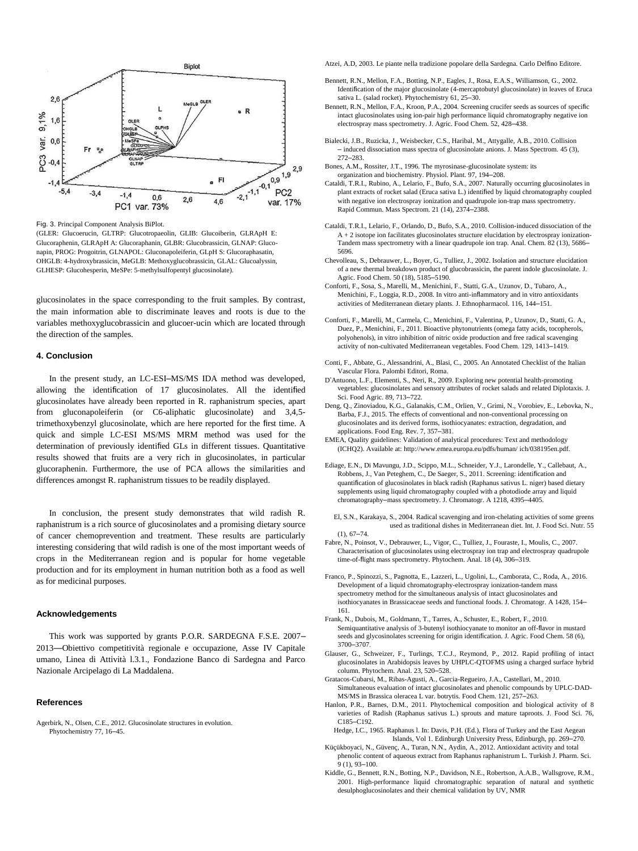

Fig. 3. Principal Component Analysis BiPlot.

(GLER: Glucoerucin, GLTRP: Glucotropaeolin, GLIB: Glucoiberin, GLRApH E: Glucoraphenin, GLRApH A: Glucoraphanin, GLBR: Glucobrassicin, GLNAP: Gluconapin, PROG: Progoitrin, GLNAPOL: Gluconapoleiferin, GLpH S: Glucoraphasatin, OHGLB: 4-hydroxybrassicin, MeGLB: Methoxyglucobrassicin, GLAL: Glucoalyssin, GLHESP: Glucohesperin, MeSPe: 5-methylsulfopentyl glucosinolate).

glucosinolates in the space corresponding to the fruit samples. By contrast, the main information able to discriminate leaves and roots is due to the variables methoxyglucobrassicin and glucoer-ucin which are located through the direction of the samples.

#### **4. Conclusion**

In the present study, an LC-ESI–MS/MS IDA method was developed, allowing the identification of 17 glucosinolates. All the identified glucosinolates have already been reported in R. raphanistrum species, apart from gluconapoleiferin (or C6-aliphatic glucosinolate) and 3,4,5 trimethoxybenzyl glucosinolate, which are here reported for the first time. A quick and simple LC-ESI MS/MS MRM method was used for the determination of previously identified GLs in different tissues. Quantitative results showed that fruits are a very rich in glucosinolates, in particular glucoraphenin. Furthermore, the use of PCA allows the similarities and differences amongst R. raphanistrum tissues to be readily displayed.

In conclusion, the present study demonstrates that wild radish R. raphanistrum is a rich source of glucosinolates and a promising dietary source of cancer chemoprevention and treatment. These results are particularly interesting considering that wild radish is one of the most important weeds of crops in the Mediterranean region and is popular for home vegetable production and for its employment in human nutrition both as a food as well as for medicinal purposes.

#### **Acknowledgements**

This work was supported by grants P.O.R. SARDEGNA F.S.E. 2007– 2013—Obiettivo competitività regionale e occupazione, Asse IV Capitale umano, Linea di Attività l.3.1., Fondazione Banco di Sardegna and Parco Nazionale Arcipelago di La Maddalena.

#### **References**

[Agerbirk, N., Olsen, C.E., 2012. Glucosinolate structures in evolution.](http://refhub.elsevier.com/S0889-1575(16)30075-8/sbref0005)  [Phytochemistry 77, 16](http://refhub.elsevier.com/S0889-1575(16)30075-8/sbref0005)–45.

Atzei, A.D, 2003. Le piante nella tradizione popolare della Sardegna. Carlo Delfino Editore.

- [Bennett, R.N., Mellon, F.A., Botting, N.P., Eagles, J., Rosa, E.A.S., Williamson, G., 2002.](http://refhub.elsevier.com/S0889-1575(16)30075-8/sbref0015) Identifi[cation of the major glucosinolate \(4-mercaptobutyl glucosinolate\) in leaves of Eruca](http://refhub.elsevier.com/S0889-1575(16)30075-8/sbref0015)  [sativa L. \(salad rocket\). Phytochemistry 61, 25](http://refhub.elsevier.com/S0889-1575(16)30075-8/sbref0015)–30.
- [Bennett, R.N., Mellon, F.A., Kroon, P.A., 2004. Screening crucifer seeds as sources of](http://refhub.elsevier.com/S0889-1575(16)30075-8/sbref0020) [speci](http://refhub.elsevier.com/S0889-1575(16)30075-8/sbref0020)fic [intact glucosinolates using ion-pair high performance liquid chromatography negative ion](http://refhub.elsevier.com/S0889-1575(16)30075-8/sbref0020)  [electrospray mass spectrometry. J. Agric. Food Chem. 52, 428](http://refhub.elsevier.com/S0889-1575(16)30075-8/sbref0020)–438.
- [Bialecki, J.B., Ruzicka, J., Weisbecker, C.S., Haribal, M., Attygalle, A.B., 2010. Collision](http://refhub.elsevier.com/S0889-1575(16)30075-8/sbref0025)  – [induced dissociation mass spectra of glucosinolate anions. J. Mass Spectrom.](http://refhub.elsevier.com/S0889-1575(16)30075-8/sbref0025) [45 \(3\),](http://refhub.elsevier.com/S0889-1575(16)30075-8/sbref0025)  272–[283.](http://refhub.elsevier.com/S0889-1575(16)30075-8/sbref0025)
- [Bones, A.M., Rossiter, J.T., 1996. The myrosinase-glucosinolate system: its](http://refhub.elsevier.com/S0889-1575(16)30075-8/sbref0030)  [organization and biochemistry. Physiol. Plant. 97, 194](http://refhub.elsevier.com/S0889-1575(16)30075-8/sbref0030)–208.
- [Cataldi, T.R.I., Rubino, A., Lelario, F., Bufo, S.A., 2007. Naturally occurring glucosinolates in](http://refhub.elsevier.com/S0889-1575(16)30075-8/sbref0035)  [plant extracts of rocket salad \(Eruca sativa L.\) identi](http://refhub.elsevier.com/S0889-1575(16)30075-8/sbref0035)fied b[y liquid chromatography coupled](http://refhub.elsevier.com/S0889-1575(16)30075-8/sbref0035)  [with negative ion electrospray ionization and quadrupole ion-trap mass spectrometry.](http://refhub.elsevier.com/S0889-1575(16)30075-8/sbref0035)  [Rapid Commun. Mass Spectrom. 21 \(14\), 2374](http://refhub.elsevier.com/S0889-1575(16)30075-8/sbref0035)–2388.
- [Cataldi, T.R.I., Lelario, F., Orlando, D., Bufo, S.A., 2010. Collision-induced dissociation of the](http://refhub.elsevier.com/S0889-1575(16)30075-8/sbref0040)  [A + 2 isotope ion facilitates glucosinolates structure elucidation by electrospray ionization-](http://refhub.elsevier.com/S0889-1575(16)30075-8/sbref0040)[Tandem mass spectrometry with a linear quadrupole ion trap. Anal. Chem. 82 \(13\), 5686](http://refhub.elsevier.com/S0889-1575(16)30075-8/sbref0040)– [5696.](http://refhub.elsevier.com/S0889-1575(16)30075-8/sbref0040)
- [Chevolleau, S., Debrauwer, L., Boyer, G., Tulliez, J., 2002. Isolation and structure elucidation](http://refhub.elsevier.com/S0889-1575(16)30075-8/sbref0045)  [of a new thermal breakdown product of glucobrassicin, the parent indole glucosinolate. J.](http://refhub.elsevier.com/S0889-1575(16)30075-8/sbref0045)  [Agric. Food Chem. 50 \(18\), 5185](http://refhub.elsevier.com/S0889-1575(16)30075-8/sbref0045)–5190.
- [Conforti, F., Sosa, S., Marelli, M., Menichini, F., Statti, G.A., Uzunov, D., Tubaro, A.,](http://refhub.elsevier.com/S0889-1575(16)30075-8/sbref0050)  [Menichini, F., Loggia, R.D., 2008. In vitro anti-in](http://refhub.elsevier.com/S0889-1575(16)30075-8/sbref0050)flammatory and in vitr[o antioxidants](http://refhub.elsevier.com/S0889-1575(16)30075-8/sbref0050)  [activities of Mediterranean dietary plants. J. Ethnopharmacol. 116, 144](http://refhub.elsevier.com/S0889-1575(16)30075-8/sbref0050)–151.
- [Conforti, F., Marelli, M., Carmela, C., Menichini, F., Valentina, P., Uzunov, D., Statti, G. A.,](http://refhub.elsevier.com/S0889-1575(16)30075-8/sbref0055)  [Duez, P., Menichini, F., 2011. Bioactive phytonutrients \(omega fatty acids, tocopherols,](http://refhub.elsevier.com/S0889-1575(16)30075-8/sbref0055)  [polyohenols\), in vitro inhibition of nitric oxide production and free radical scavenging](http://refhub.elsevier.com/S0889-1575(16)30075-8/sbref0055)  [activity of non-cultivated Mediterranean vegetables. Food Chem. 129, 1413](http://refhub.elsevier.com/S0889-1575(16)30075-8/sbref0055)–1419.
- [Conti, F., Abbate, G., Alessandrini, A., Blasi, C., 2005. An Annotated Checklist of the Italian](http://refhub.elsevier.com/S0889-1575(16)30075-8/sbref0060)  [Vascular Flora. Palombi Editori, Roma.](http://refhub.elsevier.com/S0889-1575(16)30075-8/sbref0060)
- D'[Antuono, L.F., Elementi, S., Neri, R., 2009. Exploring new potential health-promoting](http://refhub.elsevier.com/S0889-1575(16)30075-8/sbref0065)  [vegetables: glucosinolates and sensory attributes of rocket salads and related Diplotaxis. J.](http://refhub.elsevier.com/S0889-1575(16)30075-8/sbref0065)  [Sci. Food Agric. 89, 713](http://refhub.elsevier.com/S0889-1575(16)30075-8/sbref0065)–722.
- [Deng, Q., Zinoviadou, K.G., Galanakis, C.M., Orlien, V., Grimi, N., Vorobiev, E., Lebovka, N.,](http://refhub.elsevier.com/S0889-1575(16)30075-8/sbref0070)  [Barba, F.J., 2015. The effects of conventional and non-conventional processing on](http://refhub.elsevier.com/S0889-1575(16)30075-8/sbref0070)  [glucosinolates and its derived forms, isothiocyanates: extraction, degradation, and](http://refhub.elsevier.com/S0889-1575(16)30075-8/sbref0070)  [applications. Food Eng. Rev. 7, 357](http://refhub.elsevier.com/S0889-1575(16)30075-8/sbref0070)–381.
- EMEA, Quality guidelines: Validation of analytical procedures: Text and methodology (ICHQ2). Available at[: http://www.emea.europa.eu/pdfs/human/ ich/038195en.pdf.](http://www.emea.europa.eu/pdfs/human/ich/038195en.pdf)
- [Ediage, E.N., Di Mavungu, J.D., Scippo, M.L., Schneider, Y.J., Larondelle, Y., Callebaut, A.,](http://refhub.elsevier.com/S0889-1575(16)30075-8/sbref0080)  [Robbens, J., Van Peteghem, C., De Saeger, S., 2011. Screening: identi](http://refhub.elsevier.com/S0889-1575(16)30075-8/sbref0080)fication [and](http://refhub.elsevier.com/S0889-1575(16)30075-8/sbref0080)  quantifi[cation of glucosinolates in black radish \(Raphanus sativus L. niger\) based dietary](http://refhub.elsevier.com/S0889-1575(16)30075-8/sbref0080)  supplements using liquid chromatography coupled with a photodiode array and liquid chromatography–[mass spectrometry. J. Chromatogr. A 1218, 4395](http://refhub.elsevier.com/S0889-1575(16)30075-8/sbref0080)–4405.
- [El, S.N., Karakaya, S., 2004. Radical scavenging and iron-chelating activities of some greens](http://refhub.elsevier.com/S0889-1575(16)30075-8/sbref0085)  [used as traditional dishes in Mediterranean diet. Int. J. Food Sci. Nutr. 55](http://refhub.elsevier.com/S0889-1575(16)30075-8/sbref0085)   $(1), 67-74.$  $(1), 67-74.$
- [Fabre, N., Poinsot, V., Debrauwer, L., Vigor, C., Tulliez, J., Fouraste, I., Moulis, C., 2007.](http://refhub.elsevier.com/S0889-1575(16)30075-8/sbref0090)  [Characterisation of glucosinolates using electrospray ion trap and electrospray quadrupole](http://refhub.elsevier.com/S0889-1575(16)30075-8/sbref0090)  time-of-fl[ight mass spectrometry. Phytochem. Anal. 18 \(4\), 306](http://refhub.elsevier.com/S0889-1575(16)30075-8/sbref0090)–319.
- [Franco, P., Spinozzi, S., Pagnotta, E., Lazzeri, L., Ugolini, L., Camborata, C., Roda, A., 2016.](http://refhub.elsevier.com/S0889-1575(16)30075-8/sbref0095)  [Development of a liquid chromatography-electrospray ionization-tandem mass](http://refhub.elsevier.com/S0889-1575(16)30075-8/sbref0095)  [spectrometry method for the simultaneous analysis of intact glucosinolates and](http://refhub.elsevier.com/S0889-1575(16)30075-8/sbref0095)  [isothiocyanates in Brassicaceae seeds and functional foods. J. Chromatogr. A 1428, 154](http://refhub.elsevier.com/S0889-1575(16)30075-8/sbref0095)– [161.](http://refhub.elsevier.com/S0889-1575(16)30075-8/sbref0095)
- [Frank, N., Dubois, M., Goldmann, T., Tarres, A., Schuster, E., Robert, F., 2010.](http://refhub.elsevier.com/S0889-1575(16)30075-8/sbref0100)  [Semiquantitative analysis of 3-butenyl isothiocyanate to monitor an off-](http://refhub.elsevier.com/S0889-1575(16)30075-8/sbref0100)flavo[r in mustard](http://refhub.elsevier.com/S0889-1575(16)30075-8/sbref0100)  [seeds and glycosinolates screening for origin identi](http://refhub.elsevier.com/S0889-1575(16)30075-8/sbref0100)fication. J. Agric[. Food Chem. 58 \(6\),](http://refhub.elsevier.com/S0889-1575(16)30075-8/sbref0100)  3700–[3707.](http://refhub.elsevier.com/S0889-1575(16)30075-8/sbref0100)
- [Glauser, G., Schweizer, F., Turlings, T.C.J., Reymond, P., 2012. Rapid pro](http://refhub.elsevier.com/S0889-1575(16)30075-8/sbref0105)filing of intact [glucosinolates in Arabidopsis leaves by UHPLC-QTOFMS using a charged surface hybrid](http://refhub.elsevier.com/S0889-1575(16)30075-8/sbref0105)  [column. Phytochem. Anal. 23, 520](http://refhub.elsevier.com/S0889-1575(16)30075-8/sbref0105)–528.
- [Gratacos-Cubarsi, M., Ribas-Agusti, A., Garcia-Regueiro, J.A., Castellari, M., 2010.](http://refhub.elsevier.com/S0889-1575(16)30075-8/sbref0110)  [Simultaneous evaluation of intact glucosinolates and phenolic compounds by UPLC-DAD-](http://refhub.elsevier.com/S0889-1575(16)30075-8/sbref0110)[MS/MS in Brassica oleracea L var. botrytis. Food Chem. 121, 257](http://refhub.elsevier.com/S0889-1575(16)30075-8/sbref0110)–263.
- [Hanlon, P.R., Barnes, D.M., 2011. Phytochemical composition and biological activity of 8](http://refhub.elsevier.com/S0889-1575(16)30075-8/sbref0115)  [varieties of Radish \(Raphanus sativus L.\) sprouts and mature taproots. J. Food Sci. 76,](http://refhub.elsevier.com/S0889-1575(16)30075-8/sbref0115)  C185–[C192.](http://refhub.elsevier.com/S0889-1575(16)30075-8/sbref0115)
- [Hedge, I.C., 1965. Raphanus l. In: Davis, P.H. \(Ed.\), Flora of Turkey and the East Aegean](http://refhub.elsevier.com/S0889-1575(16)30075-8/sbref0120)  [Islands, Vol 1. Edinburgh University Press, Edinburgh, pp. 269](http://refhub.elsevier.com/S0889-1575(16)30075-8/sbref0120)–270.
- [Küçükboyaci, N., Güvenç, A., Turan, N.N., Aydin, A., 2012. Antioxidant activity and total](http://refhub.elsevier.com/S0889-1575(16)30075-8/sbref0125)  [phenolic content of aqueous extract from Raphanus raphanistrum L. Turkish J. Pharm. Sci.](http://refhub.elsevier.com/S0889-1575(16)30075-8/sbref0125)   $9(1), 93-100.$
- [Kiddle, G., Bennett, R.N., Botting, N.P., Davidson, N.E., Robertson, A.A.B., Wallsgrove, R.M.,](http://refhub.elsevier.com/S0889-1575(16)30075-8/sbref0130)  [2001. High-performance liquid chromatographic separation of natural and synthetic](http://refhub.elsevier.com/S0889-1575(16)30075-8/sbref0130)  [desulphoglucosinolates and their chemical validation by UV, NMR](http://refhub.elsevier.com/S0889-1575(16)30075-8/sbref0130)